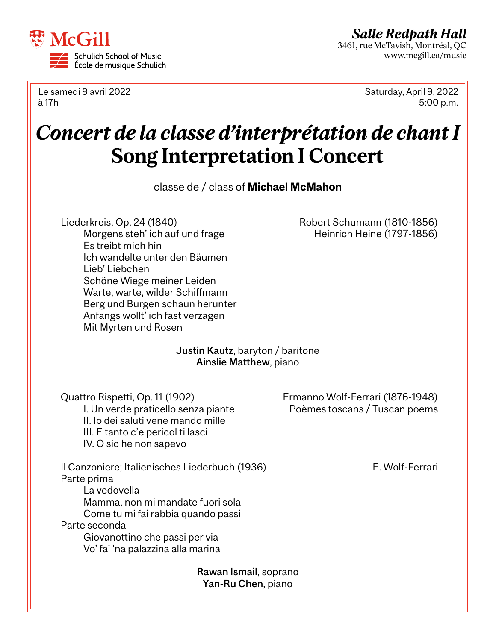

Le samedi 9 avril 2022 and the samedi 9 avril 2022 saturday, April 9, 2022 à 17h 5:00 p.m.

## *Salle Redpath Hall* 3461, rue McTavish, Montréal, QC

www.mcgill.ca/music

## *Concert de la classe d'interprétation de chant I*  **Song Interpretation I Concert**

classe de / class of **Michael McMahon**

Morgens steh' ich auf und frage Heinrich Heine (1797-1856) Es treibt mich hin Ich wandelte unter den Bäumen Lieb' Liebchen Schöne Wiege meiner Leiden Warte, warte, wilder Schiffmann Berg und Burgen schaun herunter Anfangs wollt' ich fast verzagen Mit Myrten und Rosen

> Justin Kautz, baryton / baritone Ainslie Matthew, piano

Quattro Rispetti, Op. 11 (1902) Ermanno Wolf-Ferrari (1876-1948) II. Io dei saluti vene mando mille III. E tanto c'e pericol ti lasci IV. O sic he non sapevo

I. Un verde praticello senza piante Poèmes toscans / Tuscan poems

Il Canzoniere; Italienisches Liederbuch (1936) F. Wolf-Ferrari Parte prima La vedovella

Mamma, non mi mandate fuori sola Come tu mi fai rabbia quando passi Parte seconda Giovanottino che passi per via

Vo' fa' 'na palazzina alla marina

Rawan Ismail, soprano Yan-Ru Chen, piano

Liederkreis, Op. 24 (1840) Robert Schumann (1810-1856)